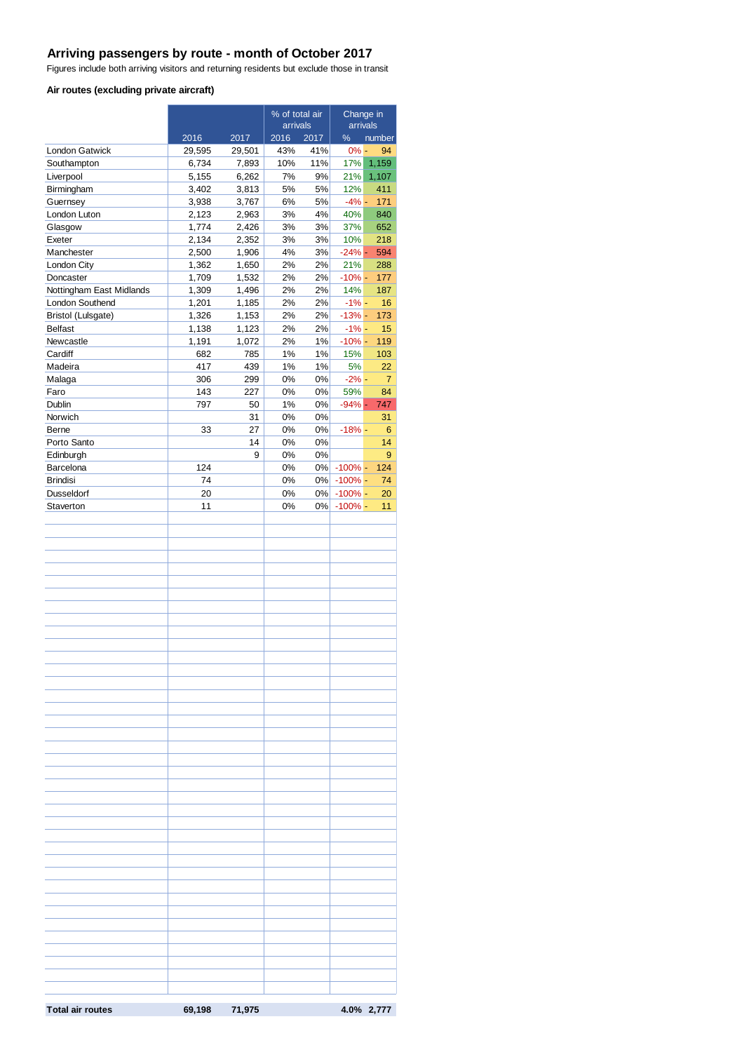# **Arriving passengers by route - month of October 2017**

Figures include both arriving visitors and returning residents but exclude those in transit

#### **Air routes (excluding private aircraft)**

|                                       |                |                | % of total air |             | Change in       |                |  |
|---------------------------------------|----------------|----------------|----------------|-------------|-----------------|----------------|--|
|                                       |                |                | arrivals       |             | arrivals<br>%   |                |  |
| <b>London Gatwick</b>                 | 2016<br>29,595 | 2017<br>29,501 | 2016<br>43%    | 2017<br>41% | $0% -$          | number<br>94   |  |
| Southampton                           | 6,734          | 7,893          | 10%            | 11%         | 17%             | 1,159          |  |
| Liverpool                             | 5,155          | 6,262          | 7%             | 9%          | 21%             | 1,107          |  |
| Birmingham                            | 3,402          | 3,813          | 5%             | 5%          | 12%             | 411            |  |
| Guernsey                              | 3,938          | 3,767          | 6%             | 5%          | $-4% -$         | 171            |  |
| London Luton                          | 2,123          | 2,963          | 3%             | 4%          | 40%             | 840            |  |
| Glasgow                               | 1,774          | 2,426          | 3%             | 3%          | 37%             | 652            |  |
| Exeter                                | 2,134          | 2,352          | 3%             | 3%          | 10%             | 218            |  |
| Manchester                            | 2,500          | 1,906          | 4%             | 3%          | $-24%$ -        | 594            |  |
| London City                           | 1,362          | 1,650          | 2%             | 2%          | 21%             | 288            |  |
| Doncaster<br>Nottingham East Midlands | 1,709<br>1,309 | 1,532<br>1,496 | 2%<br>2%       | 2%<br>2%    | $-10% -$<br>14% | 177<br>187     |  |
| London Southend                       | 1,201          | 1,185          | 2%             | 2%          | $-1% -$         | 16             |  |
| Bristol (Lulsgate)                    | 1,326          | 1,153          | 2%             | 2%          | $-13%$ -        | 173            |  |
| <b>Belfast</b>                        | 1,138          | 1,123          | 2%             | 2%          | $-1% -$         | 15             |  |
| Newcastle                             | 1,191          | 1,072          | 2%             | 1%          | $-10% -$        | 119            |  |
| Cardiff                               | 682            | 785            | 1%             | 1%          | 15%             | 103            |  |
| Madeira                               | 417            | 439            | 1%             | $1\%$       | 5%              | 22             |  |
| Malaga                                | 306            | 299            | 0%             | 0%          | $-2% -$         | $\overline{7}$ |  |
| Faro                                  | 143            | 227            | 0%             | 0%          | 59%             | 84             |  |
| Dublin                                | 797            | 50             | 1%             | 0%          | $-94%$ -        | 747            |  |
| Norwich                               |                | 31             | 0%             | 0%          |                 | 31             |  |
| Berne                                 | 33             | 27             | 0%             | 0%          | $-18% -$        | 6              |  |
| Porto Santo                           |                | 14             | 0%             | 0%          |                 | 14             |  |
| Edinburgh<br>Barcelona                | 124            | 9              | 0%<br>0%       | 0%<br>$0\%$ | $-100\%$ -      | 9<br>124       |  |
| <b>Brindisi</b>                       | 74             |                | 0%             | 0%          | $-100\%$ -      | 74             |  |
| <b>Dusseldorf</b>                     | 20             |                | 0%             |             | $0\%$ -100% -   | 20             |  |
| Staverton                             | 11             |                | 0%             | 0%          | $-100\%$ -      | 11             |  |
|                                       |                |                |                |             |                 |                |  |
|                                       |                |                |                |             |                 |                |  |
|                                       |                |                |                |             |                 |                |  |
|                                       |                |                |                |             |                 |                |  |
|                                       |                |                |                |             |                 |                |  |
|                                       |                |                |                |             |                 |                |  |
|                                       |                |                |                |             |                 |                |  |
|                                       |                |                |                |             |                 |                |  |
|                                       |                |                |                |             |                 |                |  |
|                                       |                |                |                |             |                 |                |  |
|                                       |                |                |                |             |                 |                |  |
|                                       |                |                |                |             |                 |                |  |
|                                       |                |                |                |             |                 |                |  |
|                                       |                |                |                |             |                 |                |  |
|                                       |                |                |                |             |                 |                |  |
|                                       |                |                |                |             |                 |                |  |
|                                       |                |                |                |             |                 |                |  |
|                                       |                |                |                |             |                 |                |  |
|                                       |                |                |                |             |                 |                |  |
|                                       |                |                |                |             |                 |                |  |
|                                       |                |                |                |             |                 |                |  |
|                                       |                |                |                |             |                 |                |  |
|                                       |                |                |                |             |                 |                |  |
|                                       |                |                |                |             |                 |                |  |
|                                       |                |                |                |             |                 |                |  |
|                                       |                |                |                |             |                 |                |  |
|                                       |                |                |                |             |                 |                |  |
|                                       |                |                |                |             |                 |                |  |
|                                       |                |                |                |             |                 |                |  |
|                                       |                |                |                |             |                 |                |  |
|                                       |                |                |                |             |                 |                |  |
|                                       |                |                |                |             |                 |                |  |
|                                       |                |                |                |             |                 |                |  |
|                                       |                |                |                |             |                 |                |  |
|                                       |                |                |                |             |                 |                |  |
|                                       |                |                |                |             |                 |                |  |
|                                       |                |                |                |             |                 |                |  |
| <b>Total air routes</b>               | 69,198         | 71,975         |                |             |                 | 4.0% 2,777     |  |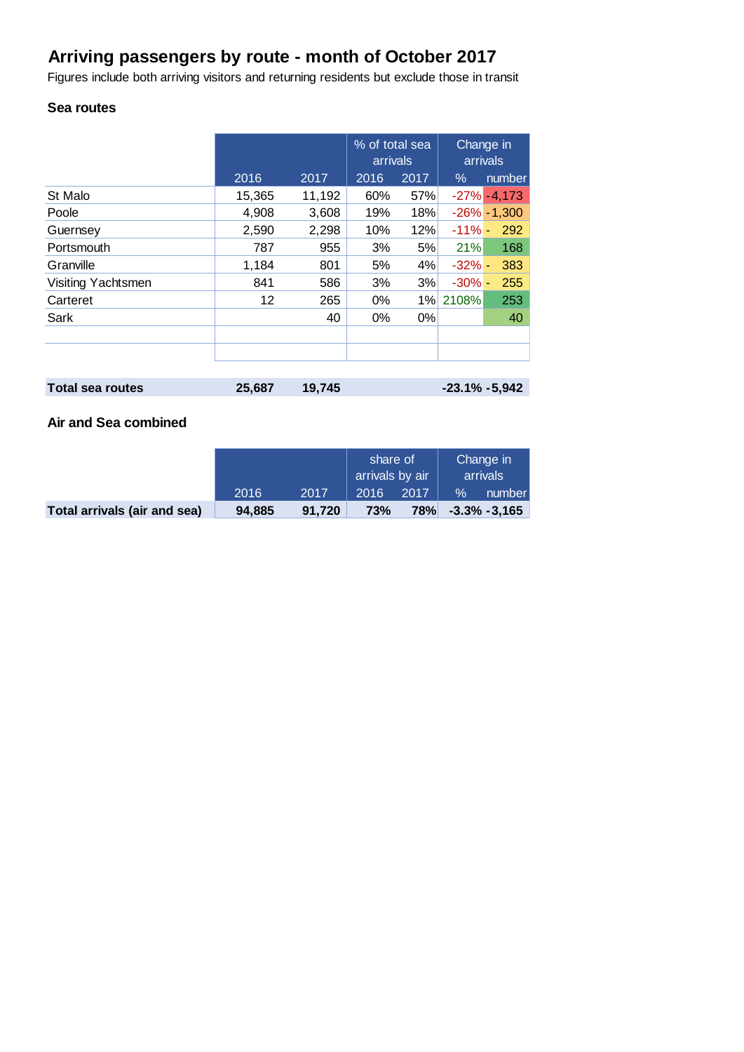# **Arriving passengers by route - month of October 2017**

Figures include both arriving visitors and returning residents but exclude those in transit

## **Sea routes**

|                    |        |        | % of total sea<br>arrivals |       | Change in<br>arrivals |                 |
|--------------------|--------|--------|----------------------------|-------|-----------------------|-----------------|
|                    | 2016   | 2017   | 2016                       | 2017  | $\%$                  | number          |
| St Malo            | 15,365 | 11,192 | 60%                        | 57%   |                       | $-27\% - 4,173$ |
| Poole              | 4,908  | 3,608  | 19%                        | 18%   |                       | $-26\% - 1,300$ |
| Guernsey           | 2,590  | 2,298  | 10%                        | 12%   | $-11% -$              | 292             |
| Portsmouth         | 787    | 955    | 3%                         | 5%    | 21%                   | 168             |
| Granville          | 1,184  | 801    | 5%                         | 4%    | $-32%$ -              | 383             |
| Visiting Yachtsmen | 841    | 586    | 3%                         | 3%    | $-30\%$ -             | 255             |
| Carteret           | 12     | 265    | 0%                         | 1%    | 2108%                 | 253             |
| Sark               |        | 40     | 0%                         | $0\%$ |                       | 40              |
|                    |        |        |                            |       |                       |                 |
|                    |        |        |                            |       |                       |                 |
|                    |        |        |                            |       |                       |                 |

| Total sea routes | 25,687 19,745 | $-23.1\% -5,942$ |
|------------------|---------------|------------------|
|                  |               |                  |

# **Air and Sea combined**

|                              |        |        | share of<br>arrivals by air |      | Change in<br>arrivals |                 |
|------------------------------|--------|--------|-----------------------------|------|-----------------------|-----------------|
|                              | 2016   | 2017   | 2016                        | 2017 | $\%$                  | number          |
| Total arrivals (air and sea) | 94.885 | 91.720 | 73%                         | 78%  |                       | $-3.3\% -3.165$ |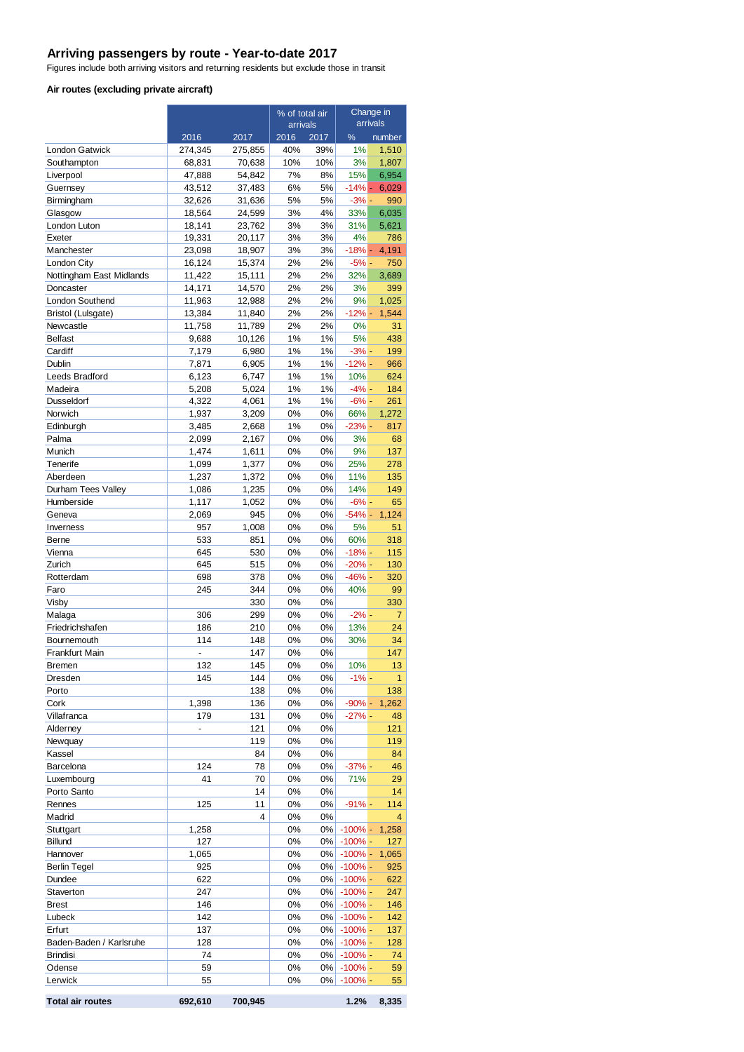#### **Arriving passengers by route - Year-to-date 2017**

Figures include both arriving visitors and returning residents but exclude those in transit

#### **Air routes (excluding private aircraft)**

| arrivals<br>arrivals<br>2016<br>%<br>2016<br>2017<br>2017<br>number<br>40%<br>39%<br>1%<br>1,510<br><b>London Gatwick</b><br>274,345<br>275,855<br>10%<br>10%<br>3%<br>Southampton<br>68,831<br>70,638<br>1,807<br>7%<br>15%<br>6,954<br>Liverpool<br>47,888<br>54,842<br>8%<br>37,483<br>6%<br>5%<br>$-14%$ -<br>Guernsey<br>43,512<br>6,029<br>5%<br>5%<br>$-3%$ -<br>990<br>Birmingham<br>32,626<br>31,636<br>3%<br>4%<br>33%<br>Glasgow<br>18,564<br>24,599<br>6,035<br>3%<br>3%<br>31%<br>5,621<br>London Luton<br>18,141<br>23,762<br>3%<br>3%<br>4%<br>Exeter<br>19,331<br>20,117<br>786<br>3%<br>3%<br>$-18% -$<br>Manchester<br>23,098<br>18,907<br>4,191<br>16,124<br>2%<br>2%<br>750<br>London City<br>15,374<br>$-5% -$<br>Nottingham East Midlands<br>2%<br>2%<br>32%<br>11,422<br>15,111<br>3,689<br>2%<br>2%<br>3%<br>399<br>Doncaster<br>14,171<br>14,570<br>2%<br>2%<br>9%<br>London Southend<br>11,963<br>12,988<br>1,025<br>2%<br>2%<br>$-12% -$<br>1,544<br>Bristol (Lulsgate)<br>13,384<br>11,840<br>11,789<br>2%<br>2%<br>0%<br>31<br>Newcastle<br>11,758<br><b>Belfast</b><br>1%<br>1%<br>5%<br>9,688<br>10,126<br>438<br>6,980<br>1%<br>1%<br>$-3%$ -<br>199<br>Cardiff<br>7,179<br>Dublin<br>6,905<br>1%<br>1%<br>$-12% -$<br>966<br>7,871<br>Leeds Bradford<br>1%<br>$1\%$<br>10%<br>6,123<br>6,747<br>624<br>1%<br>$1\%$<br>$-4% -$<br>184<br>Madeira<br>5,208<br>5,024<br>4,322<br>4,061<br>1%<br>1%<br>$-6% -$<br>261<br>Dusseldorf<br>Norwich<br>1,937<br>0%<br>0%<br>1,272<br>3,209<br>66%<br>1%<br>$-23%$ -<br>Edinburgh<br>3,485<br>2,668<br>0%<br>817<br>2,099<br>0%<br>0%<br>3%<br>Palma<br>2,167<br>68<br>Munich<br>1,474<br>0%<br>0%<br>9%<br>1,611<br>137<br>Tenerife<br>0%<br>25%<br>1,099<br>1,377<br>0%<br>278<br>0%<br>0%<br>11%<br>135<br>Aberdeen<br>1,237<br>1,372<br>1,235<br>0%<br>0%<br>14%<br>Durham Tees Valley<br>1,086<br>149<br>1,117<br>1,052<br>0%<br>0%<br>$-6% -$<br>65<br>Humberside<br>945<br>0%<br>0%<br>$-54% -$<br>1,124<br>Geneva<br>2,069<br>1,008<br>0%<br>0%<br>5%<br>957<br>51<br>Inverness<br>533<br>851<br>0%<br>0%<br>60%<br>318<br>Berne<br>645<br>530<br>0%<br>$-18% -$<br>115<br>Vienna<br>0%<br>0%<br>Zurich<br>645<br>515<br>0%<br>$-20% -$<br>130<br>698<br>378<br>0%<br>0%<br>$-46% -$<br>320<br>Rotterdam<br>344<br>0%<br>40%<br>Faro<br>245<br>0%<br>99<br>330<br>330<br>Visby<br>0%<br>0%<br>306<br>299<br>0%<br>0%<br>$-2% -$<br>Malaga<br>7<br>210<br>0%<br>0%<br>13%<br>24<br>Friedrichshafen<br>186<br>114<br>148<br>0%<br>0%<br>30%<br>Bournemouth<br>34<br>147<br>147<br>Frankfurt Main<br>0%<br>0%<br>$\overline{a}$<br>$0\%$<br>$0\%$<br>132<br>145<br>10%<br>13<br>Bremen<br>0%<br>145<br>144<br>0%<br>$-1\%$ -<br>$\mathbf{1}$<br>Dresden<br>138<br>$0\%$<br>0%<br>138<br>Porto<br>1,398<br>136<br>0%<br>0%<br>$-90% -$<br>1,262<br>Cork<br>Villafranca<br>179<br>131<br>0%<br>0%<br>$-27% -$<br>48<br>121<br>0%<br>0%<br>121<br>Alderney<br>$\overline{a}$<br>119<br>$0\%$<br>0%<br>119<br>Newquay<br>Kassel<br>84<br>0%<br>0%<br>84<br>124<br>0%<br>0%<br>$-37%$ -<br>Barcelona<br>78<br>46<br>41<br>70<br>0%<br>0%<br>71%<br>29<br>Luxembourg<br>14<br>0%<br>0%<br>14<br>Porto Santo<br>11<br>0%<br>0%<br>$-91% -$<br>114<br>Rennes<br>125<br>0%<br>0%<br>$\overline{4}$<br>Madrid<br>4<br>0%<br>0%<br>$-100\%$ -<br>1,258<br>1,258<br>Stuttgart<br>Billund<br>127<br>0%<br>0%<br>$-100\%$ -<br>127<br>1,065<br>$0\%$<br>0%<br>$-100%$ -<br>1,065<br>Hannover<br>925<br>0%<br>0%<br>$-100\%$ -<br>925<br><b>Berlin Tegel</b><br>622<br>0%<br>622<br>Dundee<br>0%<br>$-100\%$ -<br>247<br>0%<br>0%<br>$-100\%$ -<br>247<br>Staverton<br>146<br>0%<br>0%<br>$-100\%$ -<br>146<br>Brest<br>Lubeck<br>142<br>0%<br>$0\%$<br>$-100\%$ -<br>142<br>Erfurt<br>137<br>$0\%$<br>0%<br>$-100\%$ -<br>137<br>128<br>0%<br>0%<br>$-100\%$ -<br>128<br>Baden-Baden / Karlsruhe<br>74<br>0%<br>0%<br><b>Brindisi</b><br>$-100\%$ -<br>74<br>59<br>0%<br>0%<br>Odense<br>$-100\%$ -<br>59<br>55<br>0%<br>$-100%$ -<br>Lerwick<br>0%<br>55 |  | % of total air |  | Change in |  |
|-------------------------------------------------------------------------------------------------------------------------------------------------------------------------------------------------------------------------------------------------------------------------------------------------------------------------------------------------------------------------------------------------------------------------------------------------------------------------------------------------------------------------------------------------------------------------------------------------------------------------------------------------------------------------------------------------------------------------------------------------------------------------------------------------------------------------------------------------------------------------------------------------------------------------------------------------------------------------------------------------------------------------------------------------------------------------------------------------------------------------------------------------------------------------------------------------------------------------------------------------------------------------------------------------------------------------------------------------------------------------------------------------------------------------------------------------------------------------------------------------------------------------------------------------------------------------------------------------------------------------------------------------------------------------------------------------------------------------------------------------------------------------------------------------------------------------------------------------------------------------------------------------------------------------------------------------------------------------------------------------------------------------------------------------------------------------------------------------------------------------------------------------------------------------------------------------------------------------------------------------------------------------------------------------------------------------------------------------------------------------------------------------------------------------------------------------------------------------------------------------------------------------------------------------------------------------------------------------------------------------------------------------------------------------------------------------------------------------------------------------------------------------------------------------------------------------------------------------------------------------------------------------------------------------------------------------------------------------------------------------------------------------------------------------------------------------------------------------------------------------------------------------------------------------------------------------------------------------------------------------------------------------------------------------------------------------------------------------------------------------------------------------------------------------------------------------------------------------------------------------------------------------------------------------------------------------------------------------------------------------------------------------------------------------------------------------------------------------------------------------------------------------------------------------------------------------------------------------------------------------------------------------------------------------------------------------------------------------------------------------------------------------|--|----------------|--|-----------|--|
|                                                                                                                                                                                                                                                                                                                                                                                                                                                                                                                                                                                                                                                                                                                                                                                                                                                                                                                                                                                                                                                                                                                                                                                                                                                                                                                                                                                                                                                                                                                                                                                                                                                                                                                                                                                                                                                                                                                                                                                                                                                                                                                                                                                                                                                                                                                                                                                                                                                                                                                                                                                                                                                                                                                                                                                                                                                                                                                                                                                                                                                                                                                                                                                                                                                                                                                                                                                                                                                                                                                                                                                                                                                                                                                                                                                                                                                                                                                                                                                                                         |  |                |  |           |  |
|                                                                                                                                                                                                                                                                                                                                                                                                                                                                                                                                                                                                                                                                                                                                                                                                                                                                                                                                                                                                                                                                                                                                                                                                                                                                                                                                                                                                                                                                                                                                                                                                                                                                                                                                                                                                                                                                                                                                                                                                                                                                                                                                                                                                                                                                                                                                                                                                                                                                                                                                                                                                                                                                                                                                                                                                                                                                                                                                                                                                                                                                                                                                                                                                                                                                                                                                                                                                                                                                                                                                                                                                                                                                                                                                                                                                                                                                                                                                                                                                                         |  |                |  |           |  |
|                                                                                                                                                                                                                                                                                                                                                                                                                                                                                                                                                                                                                                                                                                                                                                                                                                                                                                                                                                                                                                                                                                                                                                                                                                                                                                                                                                                                                                                                                                                                                                                                                                                                                                                                                                                                                                                                                                                                                                                                                                                                                                                                                                                                                                                                                                                                                                                                                                                                                                                                                                                                                                                                                                                                                                                                                                                                                                                                                                                                                                                                                                                                                                                                                                                                                                                                                                                                                                                                                                                                                                                                                                                                                                                                                                                                                                                                                                                                                                                                                         |  |                |  |           |  |
|                                                                                                                                                                                                                                                                                                                                                                                                                                                                                                                                                                                                                                                                                                                                                                                                                                                                                                                                                                                                                                                                                                                                                                                                                                                                                                                                                                                                                                                                                                                                                                                                                                                                                                                                                                                                                                                                                                                                                                                                                                                                                                                                                                                                                                                                                                                                                                                                                                                                                                                                                                                                                                                                                                                                                                                                                                                                                                                                                                                                                                                                                                                                                                                                                                                                                                                                                                                                                                                                                                                                                                                                                                                                                                                                                                                                                                                                                                                                                                                                                         |  |                |  |           |  |
|                                                                                                                                                                                                                                                                                                                                                                                                                                                                                                                                                                                                                                                                                                                                                                                                                                                                                                                                                                                                                                                                                                                                                                                                                                                                                                                                                                                                                                                                                                                                                                                                                                                                                                                                                                                                                                                                                                                                                                                                                                                                                                                                                                                                                                                                                                                                                                                                                                                                                                                                                                                                                                                                                                                                                                                                                                                                                                                                                                                                                                                                                                                                                                                                                                                                                                                                                                                                                                                                                                                                                                                                                                                                                                                                                                                                                                                                                                                                                                                                                         |  |                |  |           |  |
|                                                                                                                                                                                                                                                                                                                                                                                                                                                                                                                                                                                                                                                                                                                                                                                                                                                                                                                                                                                                                                                                                                                                                                                                                                                                                                                                                                                                                                                                                                                                                                                                                                                                                                                                                                                                                                                                                                                                                                                                                                                                                                                                                                                                                                                                                                                                                                                                                                                                                                                                                                                                                                                                                                                                                                                                                                                                                                                                                                                                                                                                                                                                                                                                                                                                                                                                                                                                                                                                                                                                                                                                                                                                                                                                                                                                                                                                                                                                                                                                                         |  |                |  |           |  |
|                                                                                                                                                                                                                                                                                                                                                                                                                                                                                                                                                                                                                                                                                                                                                                                                                                                                                                                                                                                                                                                                                                                                                                                                                                                                                                                                                                                                                                                                                                                                                                                                                                                                                                                                                                                                                                                                                                                                                                                                                                                                                                                                                                                                                                                                                                                                                                                                                                                                                                                                                                                                                                                                                                                                                                                                                                                                                                                                                                                                                                                                                                                                                                                                                                                                                                                                                                                                                                                                                                                                                                                                                                                                                                                                                                                                                                                                                                                                                                                                                         |  |                |  |           |  |
|                                                                                                                                                                                                                                                                                                                                                                                                                                                                                                                                                                                                                                                                                                                                                                                                                                                                                                                                                                                                                                                                                                                                                                                                                                                                                                                                                                                                                                                                                                                                                                                                                                                                                                                                                                                                                                                                                                                                                                                                                                                                                                                                                                                                                                                                                                                                                                                                                                                                                                                                                                                                                                                                                                                                                                                                                                                                                                                                                                                                                                                                                                                                                                                                                                                                                                                                                                                                                                                                                                                                                                                                                                                                                                                                                                                                                                                                                                                                                                                                                         |  |                |  |           |  |
|                                                                                                                                                                                                                                                                                                                                                                                                                                                                                                                                                                                                                                                                                                                                                                                                                                                                                                                                                                                                                                                                                                                                                                                                                                                                                                                                                                                                                                                                                                                                                                                                                                                                                                                                                                                                                                                                                                                                                                                                                                                                                                                                                                                                                                                                                                                                                                                                                                                                                                                                                                                                                                                                                                                                                                                                                                                                                                                                                                                                                                                                                                                                                                                                                                                                                                                                                                                                                                                                                                                                                                                                                                                                                                                                                                                                                                                                                                                                                                                                                         |  |                |  |           |  |
|                                                                                                                                                                                                                                                                                                                                                                                                                                                                                                                                                                                                                                                                                                                                                                                                                                                                                                                                                                                                                                                                                                                                                                                                                                                                                                                                                                                                                                                                                                                                                                                                                                                                                                                                                                                                                                                                                                                                                                                                                                                                                                                                                                                                                                                                                                                                                                                                                                                                                                                                                                                                                                                                                                                                                                                                                                                                                                                                                                                                                                                                                                                                                                                                                                                                                                                                                                                                                                                                                                                                                                                                                                                                                                                                                                                                                                                                                                                                                                                                                         |  |                |  |           |  |
|                                                                                                                                                                                                                                                                                                                                                                                                                                                                                                                                                                                                                                                                                                                                                                                                                                                                                                                                                                                                                                                                                                                                                                                                                                                                                                                                                                                                                                                                                                                                                                                                                                                                                                                                                                                                                                                                                                                                                                                                                                                                                                                                                                                                                                                                                                                                                                                                                                                                                                                                                                                                                                                                                                                                                                                                                                                                                                                                                                                                                                                                                                                                                                                                                                                                                                                                                                                                                                                                                                                                                                                                                                                                                                                                                                                                                                                                                                                                                                                                                         |  |                |  |           |  |
|                                                                                                                                                                                                                                                                                                                                                                                                                                                                                                                                                                                                                                                                                                                                                                                                                                                                                                                                                                                                                                                                                                                                                                                                                                                                                                                                                                                                                                                                                                                                                                                                                                                                                                                                                                                                                                                                                                                                                                                                                                                                                                                                                                                                                                                                                                                                                                                                                                                                                                                                                                                                                                                                                                                                                                                                                                                                                                                                                                                                                                                                                                                                                                                                                                                                                                                                                                                                                                                                                                                                                                                                                                                                                                                                                                                                                                                                                                                                                                                                                         |  |                |  |           |  |
|                                                                                                                                                                                                                                                                                                                                                                                                                                                                                                                                                                                                                                                                                                                                                                                                                                                                                                                                                                                                                                                                                                                                                                                                                                                                                                                                                                                                                                                                                                                                                                                                                                                                                                                                                                                                                                                                                                                                                                                                                                                                                                                                                                                                                                                                                                                                                                                                                                                                                                                                                                                                                                                                                                                                                                                                                                                                                                                                                                                                                                                                                                                                                                                                                                                                                                                                                                                                                                                                                                                                                                                                                                                                                                                                                                                                                                                                                                                                                                                                                         |  |                |  |           |  |
|                                                                                                                                                                                                                                                                                                                                                                                                                                                                                                                                                                                                                                                                                                                                                                                                                                                                                                                                                                                                                                                                                                                                                                                                                                                                                                                                                                                                                                                                                                                                                                                                                                                                                                                                                                                                                                                                                                                                                                                                                                                                                                                                                                                                                                                                                                                                                                                                                                                                                                                                                                                                                                                                                                                                                                                                                                                                                                                                                                                                                                                                                                                                                                                                                                                                                                                                                                                                                                                                                                                                                                                                                                                                                                                                                                                                                                                                                                                                                                                                                         |  |                |  |           |  |
|                                                                                                                                                                                                                                                                                                                                                                                                                                                                                                                                                                                                                                                                                                                                                                                                                                                                                                                                                                                                                                                                                                                                                                                                                                                                                                                                                                                                                                                                                                                                                                                                                                                                                                                                                                                                                                                                                                                                                                                                                                                                                                                                                                                                                                                                                                                                                                                                                                                                                                                                                                                                                                                                                                                                                                                                                                                                                                                                                                                                                                                                                                                                                                                                                                                                                                                                                                                                                                                                                                                                                                                                                                                                                                                                                                                                                                                                                                                                                                                                                         |  |                |  |           |  |
|                                                                                                                                                                                                                                                                                                                                                                                                                                                                                                                                                                                                                                                                                                                                                                                                                                                                                                                                                                                                                                                                                                                                                                                                                                                                                                                                                                                                                                                                                                                                                                                                                                                                                                                                                                                                                                                                                                                                                                                                                                                                                                                                                                                                                                                                                                                                                                                                                                                                                                                                                                                                                                                                                                                                                                                                                                                                                                                                                                                                                                                                                                                                                                                                                                                                                                                                                                                                                                                                                                                                                                                                                                                                                                                                                                                                                                                                                                                                                                                                                         |  |                |  |           |  |
|                                                                                                                                                                                                                                                                                                                                                                                                                                                                                                                                                                                                                                                                                                                                                                                                                                                                                                                                                                                                                                                                                                                                                                                                                                                                                                                                                                                                                                                                                                                                                                                                                                                                                                                                                                                                                                                                                                                                                                                                                                                                                                                                                                                                                                                                                                                                                                                                                                                                                                                                                                                                                                                                                                                                                                                                                                                                                                                                                                                                                                                                                                                                                                                                                                                                                                                                                                                                                                                                                                                                                                                                                                                                                                                                                                                                                                                                                                                                                                                                                         |  |                |  |           |  |
|                                                                                                                                                                                                                                                                                                                                                                                                                                                                                                                                                                                                                                                                                                                                                                                                                                                                                                                                                                                                                                                                                                                                                                                                                                                                                                                                                                                                                                                                                                                                                                                                                                                                                                                                                                                                                                                                                                                                                                                                                                                                                                                                                                                                                                                                                                                                                                                                                                                                                                                                                                                                                                                                                                                                                                                                                                                                                                                                                                                                                                                                                                                                                                                                                                                                                                                                                                                                                                                                                                                                                                                                                                                                                                                                                                                                                                                                                                                                                                                                                         |  |                |  |           |  |
|                                                                                                                                                                                                                                                                                                                                                                                                                                                                                                                                                                                                                                                                                                                                                                                                                                                                                                                                                                                                                                                                                                                                                                                                                                                                                                                                                                                                                                                                                                                                                                                                                                                                                                                                                                                                                                                                                                                                                                                                                                                                                                                                                                                                                                                                                                                                                                                                                                                                                                                                                                                                                                                                                                                                                                                                                                                                                                                                                                                                                                                                                                                                                                                                                                                                                                                                                                                                                                                                                                                                                                                                                                                                                                                                                                                                                                                                                                                                                                                                                         |  |                |  |           |  |
|                                                                                                                                                                                                                                                                                                                                                                                                                                                                                                                                                                                                                                                                                                                                                                                                                                                                                                                                                                                                                                                                                                                                                                                                                                                                                                                                                                                                                                                                                                                                                                                                                                                                                                                                                                                                                                                                                                                                                                                                                                                                                                                                                                                                                                                                                                                                                                                                                                                                                                                                                                                                                                                                                                                                                                                                                                                                                                                                                                                                                                                                                                                                                                                                                                                                                                                                                                                                                                                                                                                                                                                                                                                                                                                                                                                                                                                                                                                                                                                                                         |  |                |  |           |  |
|                                                                                                                                                                                                                                                                                                                                                                                                                                                                                                                                                                                                                                                                                                                                                                                                                                                                                                                                                                                                                                                                                                                                                                                                                                                                                                                                                                                                                                                                                                                                                                                                                                                                                                                                                                                                                                                                                                                                                                                                                                                                                                                                                                                                                                                                                                                                                                                                                                                                                                                                                                                                                                                                                                                                                                                                                                                                                                                                                                                                                                                                                                                                                                                                                                                                                                                                                                                                                                                                                                                                                                                                                                                                                                                                                                                                                                                                                                                                                                                                                         |  |                |  |           |  |
|                                                                                                                                                                                                                                                                                                                                                                                                                                                                                                                                                                                                                                                                                                                                                                                                                                                                                                                                                                                                                                                                                                                                                                                                                                                                                                                                                                                                                                                                                                                                                                                                                                                                                                                                                                                                                                                                                                                                                                                                                                                                                                                                                                                                                                                                                                                                                                                                                                                                                                                                                                                                                                                                                                                                                                                                                                                                                                                                                                                                                                                                                                                                                                                                                                                                                                                                                                                                                                                                                                                                                                                                                                                                                                                                                                                                                                                                                                                                                                                                                         |  |                |  |           |  |
|                                                                                                                                                                                                                                                                                                                                                                                                                                                                                                                                                                                                                                                                                                                                                                                                                                                                                                                                                                                                                                                                                                                                                                                                                                                                                                                                                                                                                                                                                                                                                                                                                                                                                                                                                                                                                                                                                                                                                                                                                                                                                                                                                                                                                                                                                                                                                                                                                                                                                                                                                                                                                                                                                                                                                                                                                                                                                                                                                                                                                                                                                                                                                                                                                                                                                                                                                                                                                                                                                                                                                                                                                                                                                                                                                                                                                                                                                                                                                                                                                         |  |                |  |           |  |
|                                                                                                                                                                                                                                                                                                                                                                                                                                                                                                                                                                                                                                                                                                                                                                                                                                                                                                                                                                                                                                                                                                                                                                                                                                                                                                                                                                                                                                                                                                                                                                                                                                                                                                                                                                                                                                                                                                                                                                                                                                                                                                                                                                                                                                                                                                                                                                                                                                                                                                                                                                                                                                                                                                                                                                                                                                                                                                                                                                                                                                                                                                                                                                                                                                                                                                                                                                                                                                                                                                                                                                                                                                                                                                                                                                                                                                                                                                                                                                                                                         |  |                |  |           |  |
|                                                                                                                                                                                                                                                                                                                                                                                                                                                                                                                                                                                                                                                                                                                                                                                                                                                                                                                                                                                                                                                                                                                                                                                                                                                                                                                                                                                                                                                                                                                                                                                                                                                                                                                                                                                                                                                                                                                                                                                                                                                                                                                                                                                                                                                                                                                                                                                                                                                                                                                                                                                                                                                                                                                                                                                                                                                                                                                                                                                                                                                                                                                                                                                                                                                                                                                                                                                                                                                                                                                                                                                                                                                                                                                                                                                                                                                                                                                                                                                                                         |  |                |  |           |  |
|                                                                                                                                                                                                                                                                                                                                                                                                                                                                                                                                                                                                                                                                                                                                                                                                                                                                                                                                                                                                                                                                                                                                                                                                                                                                                                                                                                                                                                                                                                                                                                                                                                                                                                                                                                                                                                                                                                                                                                                                                                                                                                                                                                                                                                                                                                                                                                                                                                                                                                                                                                                                                                                                                                                                                                                                                                                                                                                                                                                                                                                                                                                                                                                                                                                                                                                                                                                                                                                                                                                                                                                                                                                                                                                                                                                                                                                                                                                                                                                                                         |  |                |  |           |  |
|                                                                                                                                                                                                                                                                                                                                                                                                                                                                                                                                                                                                                                                                                                                                                                                                                                                                                                                                                                                                                                                                                                                                                                                                                                                                                                                                                                                                                                                                                                                                                                                                                                                                                                                                                                                                                                                                                                                                                                                                                                                                                                                                                                                                                                                                                                                                                                                                                                                                                                                                                                                                                                                                                                                                                                                                                                                                                                                                                                                                                                                                                                                                                                                                                                                                                                                                                                                                                                                                                                                                                                                                                                                                                                                                                                                                                                                                                                                                                                                                                         |  |                |  |           |  |
|                                                                                                                                                                                                                                                                                                                                                                                                                                                                                                                                                                                                                                                                                                                                                                                                                                                                                                                                                                                                                                                                                                                                                                                                                                                                                                                                                                                                                                                                                                                                                                                                                                                                                                                                                                                                                                                                                                                                                                                                                                                                                                                                                                                                                                                                                                                                                                                                                                                                                                                                                                                                                                                                                                                                                                                                                                                                                                                                                                                                                                                                                                                                                                                                                                                                                                                                                                                                                                                                                                                                                                                                                                                                                                                                                                                                                                                                                                                                                                                                                         |  |                |  |           |  |
|                                                                                                                                                                                                                                                                                                                                                                                                                                                                                                                                                                                                                                                                                                                                                                                                                                                                                                                                                                                                                                                                                                                                                                                                                                                                                                                                                                                                                                                                                                                                                                                                                                                                                                                                                                                                                                                                                                                                                                                                                                                                                                                                                                                                                                                                                                                                                                                                                                                                                                                                                                                                                                                                                                                                                                                                                                                                                                                                                                                                                                                                                                                                                                                                                                                                                                                                                                                                                                                                                                                                                                                                                                                                                                                                                                                                                                                                                                                                                                                                                         |  |                |  |           |  |
|                                                                                                                                                                                                                                                                                                                                                                                                                                                                                                                                                                                                                                                                                                                                                                                                                                                                                                                                                                                                                                                                                                                                                                                                                                                                                                                                                                                                                                                                                                                                                                                                                                                                                                                                                                                                                                                                                                                                                                                                                                                                                                                                                                                                                                                                                                                                                                                                                                                                                                                                                                                                                                                                                                                                                                                                                                                                                                                                                                                                                                                                                                                                                                                                                                                                                                                                                                                                                                                                                                                                                                                                                                                                                                                                                                                                                                                                                                                                                                                                                         |  |                |  |           |  |
|                                                                                                                                                                                                                                                                                                                                                                                                                                                                                                                                                                                                                                                                                                                                                                                                                                                                                                                                                                                                                                                                                                                                                                                                                                                                                                                                                                                                                                                                                                                                                                                                                                                                                                                                                                                                                                                                                                                                                                                                                                                                                                                                                                                                                                                                                                                                                                                                                                                                                                                                                                                                                                                                                                                                                                                                                                                                                                                                                                                                                                                                                                                                                                                                                                                                                                                                                                                                                                                                                                                                                                                                                                                                                                                                                                                                                                                                                                                                                                                                                         |  |                |  |           |  |
|                                                                                                                                                                                                                                                                                                                                                                                                                                                                                                                                                                                                                                                                                                                                                                                                                                                                                                                                                                                                                                                                                                                                                                                                                                                                                                                                                                                                                                                                                                                                                                                                                                                                                                                                                                                                                                                                                                                                                                                                                                                                                                                                                                                                                                                                                                                                                                                                                                                                                                                                                                                                                                                                                                                                                                                                                                                                                                                                                                                                                                                                                                                                                                                                                                                                                                                                                                                                                                                                                                                                                                                                                                                                                                                                                                                                                                                                                                                                                                                                                         |  |                |  |           |  |
|                                                                                                                                                                                                                                                                                                                                                                                                                                                                                                                                                                                                                                                                                                                                                                                                                                                                                                                                                                                                                                                                                                                                                                                                                                                                                                                                                                                                                                                                                                                                                                                                                                                                                                                                                                                                                                                                                                                                                                                                                                                                                                                                                                                                                                                                                                                                                                                                                                                                                                                                                                                                                                                                                                                                                                                                                                                                                                                                                                                                                                                                                                                                                                                                                                                                                                                                                                                                                                                                                                                                                                                                                                                                                                                                                                                                                                                                                                                                                                                                                         |  |                |  |           |  |
|                                                                                                                                                                                                                                                                                                                                                                                                                                                                                                                                                                                                                                                                                                                                                                                                                                                                                                                                                                                                                                                                                                                                                                                                                                                                                                                                                                                                                                                                                                                                                                                                                                                                                                                                                                                                                                                                                                                                                                                                                                                                                                                                                                                                                                                                                                                                                                                                                                                                                                                                                                                                                                                                                                                                                                                                                                                                                                                                                                                                                                                                                                                                                                                                                                                                                                                                                                                                                                                                                                                                                                                                                                                                                                                                                                                                                                                                                                                                                                                                                         |  |                |  |           |  |
|                                                                                                                                                                                                                                                                                                                                                                                                                                                                                                                                                                                                                                                                                                                                                                                                                                                                                                                                                                                                                                                                                                                                                                                                                                                                                                                                                                                                                                                                                                                                                                                                                                                                                                                                                                                                                                                                                                                                                                                                                                                                                                                                                                                                                                                                                                                                                                                                                                                                                                                                                                                                                                                                                                                                                                                                                                                                                                                                                                                                                                                                                                                                                                                                                                                                                                                                                                                                                                                                                                                                                                                                                                                                                                                                                                                                                                                                                                                                                                                                                         |  |                |  |           |  |
|                                                                                                                                                                                                                                                                                                                                                                                                                                                                                                                                                                                                                                                                                                                                                                                                                                                                                                                                                                                                                                                                                                                                                                                                                                                                                                                                                                                                                                                                                                                                                                                                                                                                                                                                                                                                                                                                                                                                                                                                                                                                                                                                                                                                                                                                                                                                                                                                                                                                                                                                                                                                                                                                                                                                                                                                                                                                                                                                                                                                                                                                                                                                                                                                                                                                                                                                                                                                                                                                                                                                                                                                                                                                                                                                                                                                                                                                                                                                                                                                                         |  |                |  |           |  |
|                                                                                                                                                                                                                                                                                                                                                                                                                                                                                                                                                                                                                                                                                                                                                                                                                                                                                                                                                                                                                                                                                                                                                                                                                                                                                                                                                                                                                                                                                                                                                                                                                                                                                                                                                                                                                                                                                                                                                                                                                                                                                                                                                                                                                                                                                                                                                                                                                                                                                                                                                                                                                                                                                                                                                                                                                                                                                                                                                                                                                                                                                                                                                                                                                                                                                                                                                                                                                                                                                                                                                                                                                                                                                                                                                                                                                                                                                                                                                                                                                         |  |                |  |           |  |
|                                                                                                                                                                                                                                                                                                                                                                                                                                                                                                                                                                                                                                                                                                                                                                                                                                                                                                                                                                                                                                                                                                                                                                                                                                                                                                                                                                                                                                                                                                                                                                                                                                                                                                                                                                                                                                                                                                                                                                                                                                                                                                                                                                                                                                                                                                                                                                                                                                                                                                                                                                                                                                                                                                                                                                                                                                                                                                                                                                                                                                                                                                                                                                                                                                                                                                                                                                                                                                                                                                                                                                                                                                                                                                                                                                                                                                                                                                                                                                                                                         |  |                |  |           |  |
|                                                                                                                                                                                                                                                                                                                                                                                                                                                                                                                                                                                                                                                                                                                                                                                                                                                                                                                                                                                                                                                                                                                                                                                                                                                                                                                                                                                                                                                                                                                                                                                                                                                                                                                                                                                                                                                                                                                                                                                                                                                                                                                                                                                                                                                                                                                                                                                                                                                                                                                                                                                                                                                                                                                                                                                                                                                                                                                                                                                                                                                                                                                                                                                                                                                                                                                                                                                                                                                                                                                                                                                                                                                                                                                                                                                                                                                                                                                                                                                                                         |  |                |  |           |  |
|                                                                                                                                                                                                                                                                                                                                                                                                                                                                                                                                                                                                                                                                                                                                                                                                                                                                                                                                                                                                                                                                                                                                                                                                                                                                                                                                                                                                                                                                                                                                                                                                                                                                                                                                                                                                                                                                                                                                                                                                                                                                                                                                                                                                                                                                                                                                                                                                                                                                                                                                                                                                                                                                                                                                                                                                                                                                                                                                                                                                                                                                                                                                                                                                                                                                                                                                                                                                                                                                                                                                                                                                                                                                                                                                                                                                                                                                                                                                                                                                                         |  |                |  |           |  |
|                                                                                                                                                                                                                                                                                                                                                                                                                                                                                                                                                                                                                                                                                                                                                                                                                                                                                                                                                                                                                                                                                                                                                                                                                                                                                                                                                                                                                                                                                                                                                                                                                                                                                                                                                                                                                                                                                                                                                                                                                                                                                                                                                                                                                                                                                                                                                                                                                                                                                                                                                                                                                                                                                                                                                                                                                                                                                                                                                                                                                                                                                                                                                                                                                                                                                                                                                                                                                                                                                                                                                                                                                                                                                                                                                                                                                                                                                                                                                                                                                         |  |                |  |           |  |
|                                                                                                                                                                                                                                                                                                                                                                                                                                                                                                                                                                                                                                                                                                                                                                                                                                                                                                                                                                                                                                                                                                                                                                                                                                                                                                                                                                                                                                                                                                                                                                                                                                                                                                                                                                                                                                                                                                                                                                                                                                                                                                                                                                                                                                                                                                                                                                                                                                                                                                                                                                                                                                                                                                                                                                                                                                                                                                                                                                                                                                                                                                                                                                                                                                                                                                                                                                                                                                                                                                                                                                                                                                                                                                                                                                                                                                                                                                                                                                                                                         |  |                |  |           |  |
|                                                                                                                                                                                                                                                                                                                                                                                                                                                                                                                                                                                                                                                                                                                                                                                                                                                                                                                                                                                                                                                                                                                                                                                                                                                                                                                                                                                                                                                                                                                                                                                                                                                                                                                                                                                                                                                                                                                                                                                                                                                                                                                                                                                                                                                                                                                                                                                                                                                                                                                                                                                                                                                                                                                                                                                                                                                                                                                                                                                                                                                                                                                                                                                                                                                                                                                                                                                                                                                                                                                                                                                                                                                                                                                                                                                                                                                                                                                                                                                                                         |  |                |  |           |  |
|                                                                                                                                                                                                                                                                                                                                                                                                                                                                                                                                                                                                                                                                                                                                                                                                                                                                                                                                                                                                                                                                                                                                                                                                                                                                                                                                                                                                                                                                                                                                                                                                                                                                                                                                                                                                                                                                                                                                                                                                                                                                                                                                                                                                                                                                                                                                                                                                                                                                                                                                                                                                                                                                                                                                                                                                                                                                                                                                                                                                                                                                                                                                                                                                                                                                                                                                                                                                                                                                                                                                                                                                                                                                                                                                                                                                                                                                                                                                                                                                                         |  |                |  |           |  |
|                                                                                                                                                                                                                                                                                                                                                                                                                                                                                                                                                                                                                                                                                                                                                                                                                                                                                                                                                                                                                                                                                                                                                                                                                                                                                                                                                                                                                                                                                                                                                                                                                                                                                                                                                                                                                                                                                                                                                                                                                                                                                                                                                                                                                                                                                                                                                                                                                                                                                                                                                                                                                                                                                                                                                                                                                                                                                                                                                                                                                                                                                                                                                                                                                                                                                                                                                                                                                                                                                                                                                                                                                                                                                                                                                                                                                                                                                                                                                                                                                         |  |                |  |           |  |
|                                                                                                                                                                                                                                                                                                                                                                                                                                                                                                                                                                                                                                                                                                                                                                                                                                                                                                                                                                                                                                                                                                                                                                                                                                                                                                                                                                                                                                                                                                                                                                                                                                                                                                                                                                                                                                                                                                                                                                                                                                                                                                                                                                                                                                                                                                                                                                                                                                                                                                                                                                                                                                                                                                                                                                                                                                                                                                                                                                                                                                                                                                                                                                                                                                                                                                                                                                                                                                                                                                                                                                                                                                                                                                                                                                                                                                                                                                                                                                                                                         |  |                |  |           |  |
|                                                                                                                                                                                                                                                                                                                                                                                                                                                                                                                                                                                                                                                                                                                                                                                                                                                                                                                                                                                                                                                                                                                                                                                                                                                                                                                                                                                                                                                                                                                                                                                                                                                                                                                                                                                                                                                                                                                                                                                                                                                                                                                                                                                                                                                                                                                                                                                                                                                                                                                                                                                                                                                                                                                                                                                                                                                                                                                                                                                                                                                                                                                                                                                                                                                                                                                                                                                                                                                                                                                                                                                                                                                                                                                                                                                                                                                                                                                                                                                                                         |  |                |  |           |  |
|                                                                                                                                                                                                                                                                                                                                                                                                                                                                                                                                                                                                                                                                                                                                                                                                                                                                                                                                                                                                                                                                                                                                                                                                                                                                                                                                                                                                                                                                                                                                                                                                                                                                                                                                                                                                                                                                                                                                                                                                                                                                                                                                                                                                                                                                                                                                                                                                                                                                                                                                                                                                                                                                                                                                                                                                                                                                                                                                                                                                                                                                                                                                                                                                                                                                                                                                                                                                                                                                                                                                                                                                                                                                                                                                                                                                                                                                                                                                                                                                                         |  |                |  |           |  |
|                                                                                                                                                                                                                                                                                                                                                                                                                                                                                                                                                                                                                                                                                                                                                                                                                                                                                                                                                                                                                                                                                                                                                                                                                                                                                                                                                                                                                                                                                                                                                                                                                                                                                                                                                                                                                                                                                                                                                                                                                                                                                                                                                                                                                                                                                                                                                                                                                                                                                                                                                                                                                                                                                                                                                                                                                                                                                                                                                                                                                                                                                                                                                                                                                                                                                                                                                                                                                                                                                                                                                                                                                                                                                                                                                                                                                                                                                                                                                                                                                         |  |                |  |           |  |
|                                                                                                                                                                                                                                                                                                                                                                                                                                                                                                                                                                                                                                                                                                                                                                                                                                                                                                                                                                                                                                                                                                                                                                                                                                                                                                                                                                                                                                                                                                                                                                                                                                                                                                                                                                                                                                                                                                                                                                                                                                                                                                                                                                                                                                                                                                                                                                                                                                                                                                                                                                                                                                                                                                                                                                                                                                                                                                                                                                                                                                                                                                                                                                                                                                                                                                                                                                                                                                                                                                                                                                                                                                                                                                                                                                                                                                                                                                                                                                                                                         |  |                |  |           |  |
|                                                                                                                                                                                                                                                                                                                                                                                                                                                                                                                                                                                                                                                                                                                                                                                                                                                                                                                                                                                                                                                                                                                                                                                                                                                                                                                                                                                                                                                                                                                                                                                                                                                                                                                                                                                                                                                                                                                                                                                                                                                                                                                                                                                                                                                                                                                                                                                                                                                                                                                                                                                                                                                                                                                                                                                                                                                                                                                                                                                                                                                                                                                                                                                                                                                                                                                                                                                                                                                                                                                                                                                                                                                                                                                                                                                                                                                                                                                                                                                                                         |  |                |  |           |  |
|                                                                                                                                                                                                                                                                                                                                                                                                                                                                                                                                                                                                                                                                                                                                                                                                                                                                                                                                                                                                                                                                                                                                                                                                                                                                                                                                                                                                                                                                                                                                                                                                                                                                                                                                                                                                                                                                                                                                                                                                                                                                                                                                                                                                                                                                                                                                                                                                                                                                                                                                                                                                                                                                                                                                                                                                                                                                                                                                                                                                                                                                                                                                                                                                                                                                                                                                                                                                                                                                                                                                                                                                                                                                                                                                                                                                                                                                                                                                                                                                                         |  |                |  |           |  |
|                                                                                                                                                                                                                                                                                                                                                                                                                                                                                                                                                                                                                                                                                                                                                                                                                                                                                                                                                                                                                                                                                                                                                                                                                                                                                                                                                                                                                                                                                                                                                                                                                                                                                                                                                                                                                                                                                                                                                                                                                                                                                                                                                                                                                                                                                                                                                                                                                                                                                                                                                                                                                                                                                                                                                                                                                                                                                                                                                                                                                                                                                                                                                                                                                                                                                                                                                                                                                                                                                                                                                                                                                                                                                                                                                                                                                                                                                                                                                                                                                         |  |                |  |           |  |
|                                                                                                                                                                                                                                                                                                                                                                                                                                                                                                                                                                                                                                                                                                                                                                                                                                                                                                                                                                                                                                                                                                                                                                                                                                                                                                                                                                                                                                                                                                                                                                                                                                                                                                                                                                                                                                                                                                                                                                                                                                                                                                                                                                                                                                                                                                                                                                                                                                                                                                                                                                                                                                                                                                                                                                                                                                                                                                                                                                                                                                                                                                                                                                                                                                                                                                                                                                                                                                                                                                                                                                                                                                                                                                                                                                                                                                                                                                                                                                                                                         |  |                |  |           |  |
|                                                                                                                                                                                                                                                                                                                                                                                                                                                                                                                                                                                                                                                                                                                                                                                                                                                                                                                                                                                                                                                                                                                                                                                                                                                                                                                                                                                                                                                                                                                                                                                                                                                                                                                                                                                                                                                                                                                                                                                                                                                                                                                                                                                                                                                                                                                                                                                                                                                                                                                                                                                                                                                                                                                                                                                                                                                                                                                                                                                                                                                                                                                                                                                                                                                                                                                                                                                                                                                                                                                                                                                                                                                                                                                                                                                                                                                                                                                                                                                                                         |  |                |  |           |  |
|                                                                                                                                                                                                                                                                                                                                                                                                                                                                                                                                                                                                                                                                                                                                                                                                                                                                                                                                                                                                                                                                                                                                                                                                                                                                                                                                                                                                                                                                                                                                                                                                                                                                                                                                                                                                                                                                                                                                                                                                                                                                                                                                                                                                                                                                                                                                                                                                                                                                                                                                                                                                                                                                                                                                                                                                                                                                                                                                                                                                                                                                                                                                                                                                                                                                                                                                                                                                                                                                                                                                                                                                                                                                                                                                                                                                                                                                                                                                                                                                                         |  |                |  |           |  |
|                                                                                                                                                                                                                                                                                                                                                                                                                                                                                                                                                                                                                                                                                                                                                                                                                                                                                                                                                                                                                                                                                                                                                                                                                                                                                                                                                                                                                                                                                                                                                                                                                                                                                                                                                                                                                                                                                                                                                                                                                                                                                                                                                                                                                                                                                                                                                                                                                                                                                                                                                                                                                                                                                                                                                                                                                                                                                                                                                                                                                                                                                                                                                                                                                                                                                                                                                                                                                                                                                                                                                                                                                                                                                                                                                                                                                                                                                                                                                                                                                         |  |                |  |           |  |
|                                                                                                                                                                                                                                                                                                                                                                                                                                                                                                                                                                                                                                                                                                                                                                                                                                                                                                                                                                                                                                                                                                                                                                                                                                                                                                                                                                                                                                                                                                                                                                                                                                                                                                                                                                                                                                                                                                                                                                                                                                                                                                                                                                                                                                                                                                                                                                                                                                                                                                                                                                                                                                                                                                                                                                                                                                                                                                                                                                                                                                                                                                                                                                                                                                                                                                                                                                                                                                                                                                                                                                                                                                                                                                                                                                                                                                                                                                                                                                                                                         |  |                |  |           |  |
|                                                                                                                                                                                                                                                                                                                                                                                                                                                                                                                                                                                                                                                                                                                                                                                                                                                                                                                                                                                                                                                                                                                                                                                                                                                                                                                                                                                                                                                                                                                                                                                                                                                                                                                                                                                                                                                                                                                                                                                                                                                                                                                                                                                                                                                                                                                                                                                                                                                                                                                                                                                                                                                                                                                                                                                                                                                                                                                                                                                                                                                                                                                                                                                                                                                                                                                                                                                                                                                                                                                                                                                                                                                                                                                                                                                                                                                                                                                                                                                                                         |  |                |  |           |  |
|                                                                                                                                                                                                                                                                                                                                                                                                                                                                                                                                                                                                                                                                                                                                                                                                                                                                                                                                                                                                                                                                                                                                                                                                                                                                                                                                                                                                                                                                                                                                                                                                                                                                                                                                                                                                                                                                                                                                                                                                                                                                                                                                                                                                                                                                                                                                                                                                                                                                                                                                                                                                                                                                                                                                                                                                                                                                                                                                                                                                                                                                                                                                                                                                                                                                                                                                                                                                                                                                                                                                                                                                                                                                                                                                                                                                                                                                                                                                                                                                                         |  |                |  |           |  |
|                                                                                                                                                                                                                                                                                                                                                                                                                                                                                                                                                                                                                                                                                                                                                                                                                                                                                                                                                                                                                                                                                                                                                                                                                                                                                                                                                                                                                                                                                                                                                                                                                                                                                                                                                                                                                                                                                                                                                                                                                                                                                                                                                                                                                                                                                                                                                                                                                                                                                                                                                                                                                                                                                                                                                                                                                                                                                                                                                                                                                                                                                                                                                                                                                                                                                                                                                                                                                                                                                                                                                                                                                                                                                                                                                                                                                                                                                                                                                                                                                         |  |                |  |           |  |
|                                                                                                                                                                                                                                                                                                                                                                                                                                                                                                                                                                                                                                                                                                                                                                                                                                                                                                                                                                                                                                                                                                                                                                                                                                                                                                                                                                                                                                                                                                                                                                                                                                                                                                                                                                                                                                                                                                                                                                                                                                                                                                                                                                                                                                                                                                                                                                                                                                                                                                                                                                                                                                                                                                                                                                                                                                                                                                                                                                                                                                                                                                                                                                                                                                                                                                                                                                                                                                                                                                                                                                                                                                                                                                                                                                                                                                                                                                                                                                                                                         |  |                |  |           |  |

**Total air routes 692,610 700,945 1.2% 8,335**